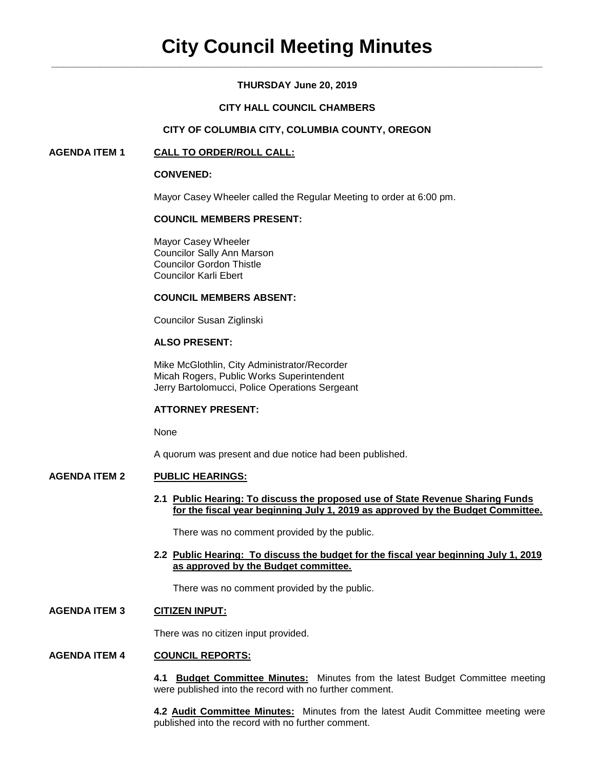## **THURSDAY June 20, 2019**

### **CITY HALL COUNCIL CHAMBERS**

### **CITY OF COLUMBIA CITY, COLUMBIA COUNTY, OREGON**

### **AGENDA ITEM 1 CALL TO ORDER/ROLL CALL:**

#### **CONVENED:**

Mayor Casey Wheeler called the Regular Meeting to order at 6:00 pm.

## **COUNCIL MEMBERS PRESENT:**

Mayor Casey Wheeler Councilor Sally Ann Marson Councilor Gordon Thistle Councilor Karli Ebert

#### **COUNCIL MEMBERS ABSENT:**

Councilor Susan Ziglinski

## **ALSO PRESENT:**

Mike McGlothlin, City Administrator/Recorder Micah Rogers, Public Works Superintendent Jerry Bartolomucci, Police Operations Sergeant

### **ATTORNEY PRESENT:**

None

A quorum was present and due notice had been published.

### **AGENDA ITEM 2 PUBLIC HEARINGS:**

**2.1 Public Hearing: To discuss the proposed use of State Revenue Sharing Funds for the fiscal year beginning July 1, 2019 as approved by the Budget Committee.**

There was no comment provided by the public.

#### **2.2 Public Hearing: To discuss the budget for the fiscal year beginning July 1, 2019 as approved by the Budget committee.**

There was no comment provided by the public.

### **AGENDA ITEM 3 CITIZEN INPUT:**

There was no citizen input provided.

#### **AGENDA ITEM 4 COUNCIL REPORTS:**

**4.1 Budget Committee Minutes:** Minutes from the latest Budget Committee meeting were published into the record with no further comment.

**4.2 Audit Committee Minutes:** Minutes from the latest Audit Committee meeting were published into the record with no further comment.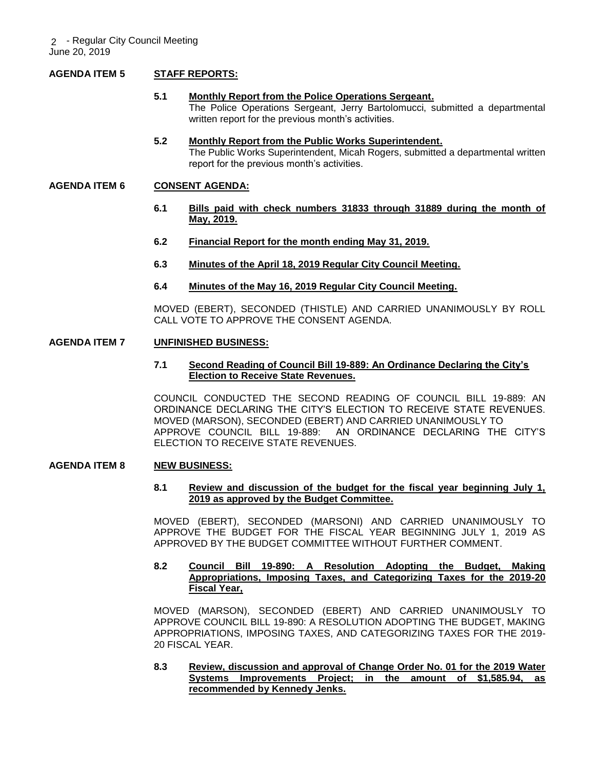## **AGENDA ITEM 5 STAFF REPORTS:**

- **5.1 Monthly Report from the Police Operations Sergeant.** The Police Operations Sergeant, Jerry Bartolomucci, submitted a departmental written report for the previous month's activities.
- **5.2 Monthly Report from the Public Works Superintendent.** The Public Works Superintendent, Micah Rogers, submitted a departmental written report for the previous month's activities.

#### **AGENDA ITEM 6 CONSENT AGENDA:**

- **6.1 Bills paid with check numbers 31833 through 31889 during the month of May, 2019.**
- **6.2 Financial Report for the month ending May 31, 2019.**
- **6.3 Minutes of the April 18, 2019 Regular City Council Meeting.**
- **6.4 Minutes of the May 16, 2019 Regular City Council Meeting.**

MOVED (EBERT), SECONDED (THISTLE) AND CARRIED UNANIMOUSLY BY ROLL CALL VOTE TO APPROVE THE CONSENT AGENDA.

### **AGENDA ITEM 7 UNFINISHED BUSINESS:**

### **7.1 Second Reading of Council Bill 19-889: An Ordinance Declaring the City's Election to Receive State Revenues.**

COUNCIL CONDUCTED THE SECOND READING OF COUNCIL BILL 19-889: AN ORDINANCE DECLARING THE CITY'S ELECTION TO RECEIVE STATE REVENUES. MOVED (MARSON), SECONDED (EBERT) AND CARRIED UNANIMOUSLY TO APPROVE COUNCIL BILL 19-889: AN ORDINANCE DECLARING THE CITY'S ELECTION TO RECEIVE STATE REVENUES.

### **AGENDA ITEM 8 NEW BUSINESS:**

#### **8.1 Review and discussion of the budget for the fiscal year beginning July 1, 2019 as approved by the Budget Committee.**

MOVED (EBERT), SECONDED (MARSONI) AND CARRIED UNANIMOUSLY TO APPROVE THE BUDGET FOR THE FISCAL YEAR BEGINNING JULY 1, 2019 AS APPROVED BY THE BUDGET COMMITTEE WITHOUT FURTHER COMMENT.

### **8.2 Council Bill 19-890: A Resolution Adopting the Budget, Making Appropriations, Imposing Taxes, and Categorizing Taxes for the 2019-20 Fiscal Year,**

MOVED (MARSON), SECONDED (EBERT) AND CARRIED UNANIMOUSLY TO APPROVE COUNCIL BILL 19-890: A RESOLUTION ADOPTING THE BUDGET, MAKING APPROPRIATIONS, IMPOSING TAXES, AND CATEGORIZING TAXES FOR THE 2019- 20 FISCAL YEAR.

**8.3 Review, discussion and approval of Change Order No. 01 for the 2019 Water Systems Improvements Project; in the amount of \$1,585.94, as recommended by Kennedy Jenks.**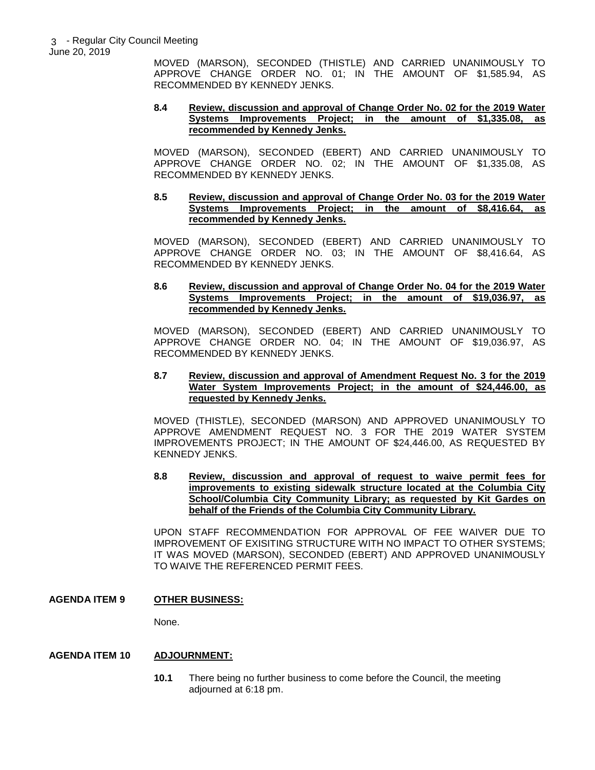MOVED (MARSON), SECONDED (THISTLE) AND CARRIED UNANIMOUSLY TO APPROVE CHANGE ORDER NO. 01; IN THE AMOUNT OF \$1,585.94, AS RECOMMENDED BY KENNEDY JENKS.

#### **8.4 Review, discussion and approval of Change Order No. 02 for the 2019 Water Systems Improvements Project; in the amount of \$1,335.08, as recommended by Kennedy Jenks.**

MOVED (MARSON), SECONDED (EBERT) AND CARRIED UNANIMOUSLY TO APPROVE CHANGE ORDER NO. 02; IN THE AMOUNT OF \$1,335.08, AS RECOMMENDED BY KENNEDY JENKS.

#### **8.5 Review, discussion and approval of Change Order No. 03 for the 2019 Water Systems Improvements Project; in the amount of \$8,416.64, as recommended by Kennedy Jenks.**

MOVED (MARSON), SECONDED (EBERT) AND CARRIED UNANIMOUSLY TO APPROVE CHANGE ORDER NO. 03; IN THE AMOUNT OF \$8,416.64, AS RECOMMENDED BY KENNEDY JENKS.

#### **8.6 Review, discussion and approval of Change Order No. 04 for the 2019 Water Systems Improvements Project; in the amount of \$19,036.97, as recommended by Kennedy Jenks.**

MOVED (MARSON), SECONDED (EBERT) AND CARRIED UNANIMOUSLY TO APPROVE CHANGE ORDER NO. 04; IN THE AMOUNT OF \$19,036.97, AS RECOMMENDED BY KENNEDY JENKS.

### **8.7 Review, discussion and approval of Amendment Request No. 3 for the 2019 Water System Improvements Project; in the amount of \$24,446.00, as requested by Kennedy Jenks.**

MOVED (THISTLE), SECONDED (MARSON) AND APPROVED UNANIMOUSLY TO APPROVE AMENDMENT REQUEST NO. 3 FOR THE 2019 WATER SYSTEM IMPROVEMENTS PROJECT; IN THE AMOUNT OF \$24,446.00, AS REQUESTED BY KENNEDY JENKS.

#### **8.8 Review, discussion and approval of request to waive permit fees for improvements to existing sidewalk structure located at the Columbia City School/Columbia City Community Library; as requested by Kit Gardes on behalf of the Friends of the Columbia City Community Library.**

UPON STAFF RECOMMENDATION FOR APPROVAL OF FEE WAIVER DUE TO IMPROVEMENT OF EXISITING STRUCTURE WITH NO IMPACT TO OTHER SYSTEMS; IT WAS MOVED (MARSON), SECONDED (EBERT) AND APPROVED UNANIMOUSLY TO WAIVE THE REFERENCED PERMIT FEES.

## **AGENDA ITEM 9 OTHER BUSINESS:**

None.

## **AGENDA ITEM 10 ADJOURNMENT:**

**10.1** There being no further business to come before the Council, the meeting adjourned at 6:18 pm.